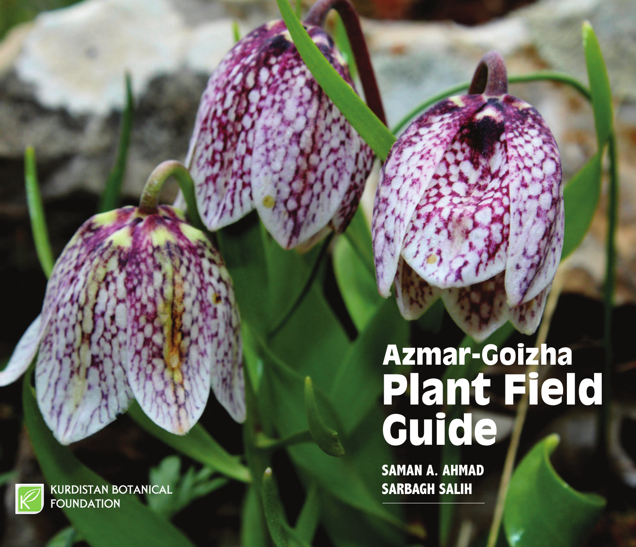# Azmar-Goizha Plant Field Guide

**SAMAN A. AHMAD SARBAGH SALIH**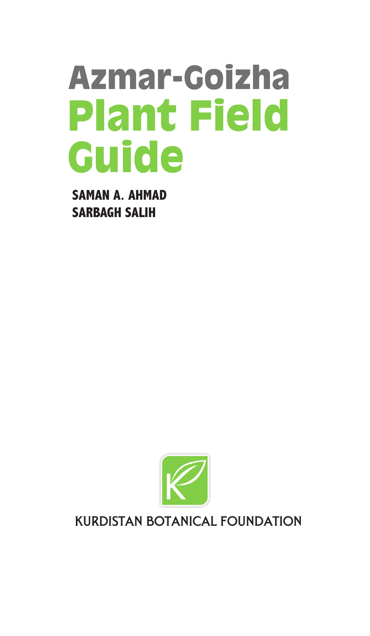## Azmar-Goizha Plant Field Guide

**SAMAN A. AHMAD SARBAGH SALIH**



#### Kurdistan Botanical Foundation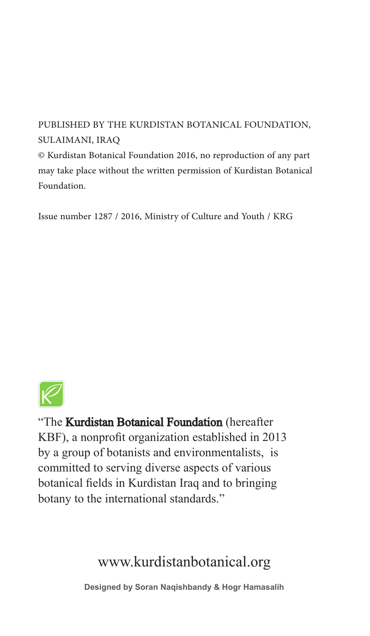PUBLISHED BY THE KURDISTAN BOTANICAL FOUNDATION, SULAIMANI, IRAQ

© Kurdistan Botanical Foundation 2016, no reproduction of any part may take place without the written permission of Kurdistan Botanical Foundation.

Issue number 1287 / 2016, Ministry of Culture and Youth / KRG



"The Kurdistan Botanical Foundation (hereafter KBF), a nonprofit organization established in 2013 by a group of botanists and environmentalists, is committed to serving diverse aspects of various botanical fields in Kurdistan Iraq and to bringing botany to the international standards."

#### www.kurdistanbotanical.org

**Designed by Soran Naqishbandy & Hogr Hamasalih**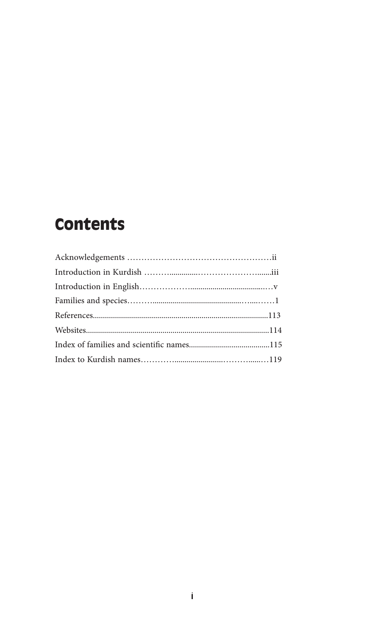### **Contents**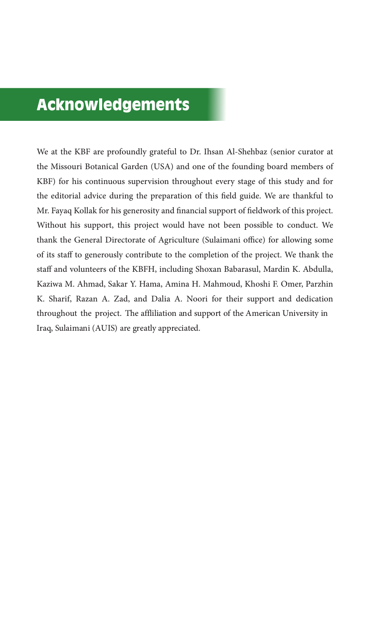#### Acknowledgements

We at the KBF are profoundly grateful to Dr. Ihsan Al-Shehbaz (senior curator at the Missouri Botanical Garden (USA) and one of the founding board members of KBF) for his continuous supervision throughout every stage of this study and for the editorial advice during the preparation of this field guide. We are thankful to Mr. Fayaq Kollak for his generosity and financial support of fieldwork of this project. Without his support, this project would have not been possible to conduct. We thank the General Directorate of Agriculture (Sulaimani office) for allowing some of its staff to generously contribute to the completion of the project. We thank the staff and volunteers of the KBFH, including Shoxan Babarasul, Mardin K. Abdulla, Kaziwa M. Ahmad, Sakar Y. Hama, Amina H. Mahmoud, Khoshi F. Omer, Parzhin K. Sharif, Razan A. Zad, and Dalia A. Noori for their support and dedication throughout the project. The affliliation and support of the American University in Iraq, Sulaimani (AUIS) are greatly appreciated.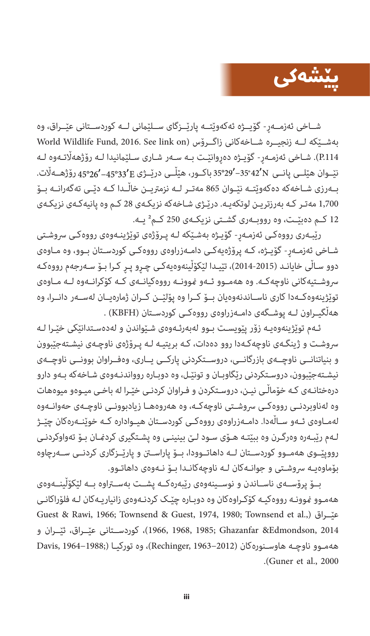

شــاخی ئەزمــەر- گۆيــژە ئەكەوێتــە پارێــزگای ســلێمانی لــە كوردســتانی عێــراق، وە World Wildlife Fund, 2016. See link on( زاگــرۆس شــاخەکانی زنجیــرە لــە بەشــێکە .114P). شـاخی ئەزمـەڕ- گۆیـژە دەڕوانێـت بـە سـەر شـاری سـلێامنیدا لـە رۆژهەاڵتـەوە لـە نێــوان هێلــی پانــی 35°29ʹ 42º35 ʹباکــور، هێڵــی درێــژی 45°26ʹ 45°33ʹ رۆژهــەاڵت. بــەرزی شــاخەکە دەکەوێتــە نێــوان 865 مەتــر لــە نزمرتیــن خاڵــدا کــە دێــی تەگەرانــە بــۆ 1,700 مەتـر کـە بەرزتریـن لوتکەیـە. درێـژی شـاخەکە نزیکـەی 28 کـم وە پانیەکـەی نزیکـەی 12 کــم دەبێــت، وە رووبــەری گشــتی نزیکــەی 250 کــم² یــە.

رێبـەری رووەکـی ئەزمـەڕ- گۆیـژە بەشـێکە لـە پـرۆژەی توێژینـەوەی رووەکـی رسوشـتی شـاخی ئەزمـەڕ- گۆیـژە، کـە پرۆژەیەکـی دامـەزراوەی رووەکـی کوردسـتان بـوو، وە مـاوەی دوو سـاڵی خایانـد )2014-2015(، تێیـدا لێکۆڵینەوەیەکـی چـڕو پـڕ کـرا بـۆ سـەرجەم رووەکـە رسوشــتیەکانی ناوچەکــە. وە هەمــوو ئــەو منوونــە رووەکیانــەی کــە کۆکرانــەوە لــە مــاوەی توێژینەوەکــەدا کاری ناســاندنەوەیان بــۆ کــرا وە پۆلێــن کــران ژمارەیــان لەســەر دانــرا، وە هەڵگیــراون لــە پوشــگەی دامــەزراوەی رووەکــی کوردســتان )KBFH ).

ئـەم توێژینەوەیـە زۆر پێویسـت بـوو لەبەرئـەوەی شـێواندن و لەدەسـتدانێکی خێـرا لـە رسوشـت و ژینگـەی ناوچەکـەدا روو دەدات، کـە بریتیـە لـە پـرۆژەی ناوچـەی نیشـتەجێبوون و بنیاتنانــی ناوچــەی بازرگانــی، دروســتکردنی پارکــی یــاری، وەفــراوان بوونــی ناوچــەی نیشـتەجێبوون، دروسـتکردنی رێگاوبـان و تونێـل، وە دوبـارە روواندنـەوەی شـاخەکە بـەو دارو درەختانـەی کـە خۆماڵـی نیـن، دروسـتکردن و فـراوان کردنـی خێـرا لە باخـی میـوەو میوەهات وە لەناوبردنــی رووەکــی رسوشــتی ناوچەکــە، وە هەروەهــا زیادبوونــی ناوچــەی حەوانــەوە لەمــاوەی ئــەو ســاڵەدا. دامــەزراوەی رووەکــی کوردســتان هیــوادارە کــە خوێنــەرەکان چێــژ لـەم رێبـەرە وەرگـرن وە ببێتـە هـۆی سـود لـێ بینینـی وە پشـتگیری کردمنـان بـۆ تەواوکردنـی رووپێــوی هەمــوو کوردســتان لــە داهاتــوودا، بــۆ پاراســن و پارێــزگاری کردنــی ســەرچاوە بۆماوەیـە رسوشـتی و جوانـەکان لـە ناوچەکانـدا بـۆ نـەوەی داهاتـوو.

بــۆ پرۆســەی ناســاندن و نوســینەوەی رێبەرەکــە پشــت بەســراوە بــە لێکۆڵینــەوەی هەمـوو منوونـە رووەکیـە کۆکـراوەکان وە دوبـارە چێـک کردنـەوەی زانیاریـەکان لـە فلۆراکانـی Guest & Rawi, 1966; Townsend & Guest, 1974, 1980; Townsend et al.,) عيّــراق 2014 ,Edmondson &Ghazanfar; 1985 1968, 1966,)، کوردســتانی عێــراق، ئێــران و ههمـوو ناوچـه هاوسـنورهکان (1962−2012)، وە تورکیـا ()1963−1964 ,Rechinger .)Guner et al., 2000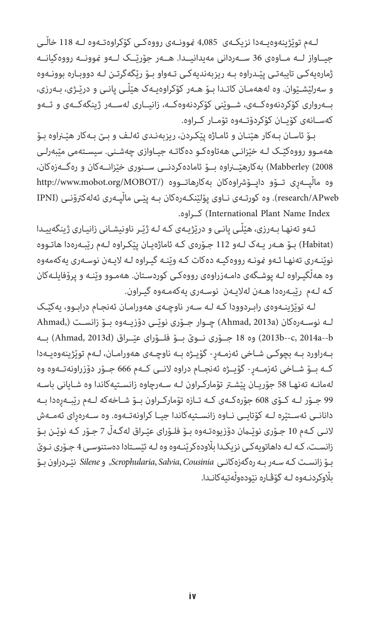لــەم توێژینەوەیــەدا نزیکــەی 4,085 منوونــەی رووەکــی کۆکراوەتــەوە لــە 118 خاڵــی جیــاواز لــە مــاوەی 36 ســەردانی مەیدانیــدا. هــەر جۆرێــک لــەو منوونــە رووەکیانــە ژمارەیەکـی تایبەتـی پێـدراوە بـە ریزبەندیەکـی تـەواو بـۆ رێگەگرتـن لـە دووبـارە بوونـەوە و سەرلێشـێوان. وە لەهەمـان کاتـدا بـۆ هـەر کۆکراوەیـەک هێڵـی پانـی و درێـژی، بـەرزی، بــەرواری کۆکردنەوەکــەی، شــوێنی کۆکردنەوەکــە، زانیــاری لەســەر ژینگەکــەی و ئــەو کەســانەی کۆیــان کۆکردۆتــەوە تۆمــار کــراوە.

بـۆ ئاسـان بـەکار هێنـان و ئامـاژە پێکـردن، ریزبەنـدی ئەلـف و بـێ بـەکار هێـراوە بـۆ هەمـوو رووەکێـک لـە خێزانـی هەتاوەکـو دەگاتـە جیـاوازی چەشـنی. سیسـتەمی مێبەرلـی 2008) Mabberley )بەکارهێــراوە بــۆ ئامادەکردنــی ســنوری خێزانــەکان و رەگــەزەکان، وه مالّپــەرى تــۆو داپــۆشراوەكان بەكارهاتــووه (/http://www.mobot.org/MOBOT APweb/research). وە کورتـەی نـاوی پۆلێنکـەرەکان بـە پێـی ماڵپـەری ئەلەکرتۆنـی (IPNI .کــراوە) International Plant Name Index

ئـەو تەنهـا بـەرزی، هێڵـی پانـی و درێژیـەی کـە لـە ژێـر ناونیشـانی زانیـاری ژینگەییـدا )Habitat )بـۆ هـەر یـەک لـەو 112 جـۆرەی کـە ئاماژەیـان پێکـراوە لـەم رێبـەرەدا هاتـووە نوێنـەری تەنهـا ئـەو منونـە رووەکیـە دەکات کـە وێنـە گیـراوە لـە الیـەن نوسـەری یەکەمەوە وە هەڵگیـراوە لـە پوشـگەی دامـەزراوەی رووەکـی کوردسـتان. هەمـوو وێنـە و پرۆفایلـەکان کـە لـەم رێبـەرەدا هـەن لەالیـەن نوسـەری یەکەمـەوە گیـراون.

لـە توێژینـەوەی رابـردوودا کـە لـە سـەر ناوچـەی هەورامـان ئەنجـام درابـوو، یەکێـک لــه نوســەرەکان (Ahmad, 2013a) چــوار جــۆری نوێــی دۆزیــەوە بــۆ زانســت (,Ahmad b--a2014 ,c--b2013 )وە 18 جــۆری نــوێ بــۆ فلــۆرای عێــراق )d2013 ,Ahmad )بــە بـەراورد بـە بچوکـی شـاخی ئەزمـەڕ- گۆیـژە بـە ناوچـەی هەورامـان، لـەم توێژینەوەیـەدا کــە بــۆ شــاخی ئەزمــەڕ- گۆیــژە ئەنجــام دراوە النــی کــەم 666 جــۆر دۆزراونەتــەوە وە لەمانـە تەنهـا 58 جۆریـان پێشـر تۆمارکـراون لـە سـەرچاوە زانسـتیەکاندا وە شـایانی باسـە 99 جــۆر لــە کــۆی 608 جۆرەکــەی کــە تــازە تۆمارکــراون بــۆ شــاخەکە لــەم رێبــەڕەدا بــە دانانــی ئەســتێرە لــە کۆتایــی نــاوە زانســتیەکاندا جیــا کراونەتــەوە. وە ســەرەڕای ئەمــەش النـی کـەم 10 جـۆری نوێـان دۆزیوەتـەوە بـۆ فلـۆرای عێـراق لەگـەڵ 7 جـۆر کـە نوێـن بـۆ زانسـت، کـە لـە داهاتویەکـی نزیکـدا باڵودەکرێنـەوە وە لـە ئێسـتادا دەستنوسـی 4 جـۆری نـوێ بـۆ زانسـت کـە سـەر بـە رەگەزەکانـی *Cousinia* ,*Salvia* ,*Scrophularia*, و *Silene* نێـردراون بـۆ باڵوکردنـەوە لـە گۆڤـارە نێودەوڵەتیەکانـدا.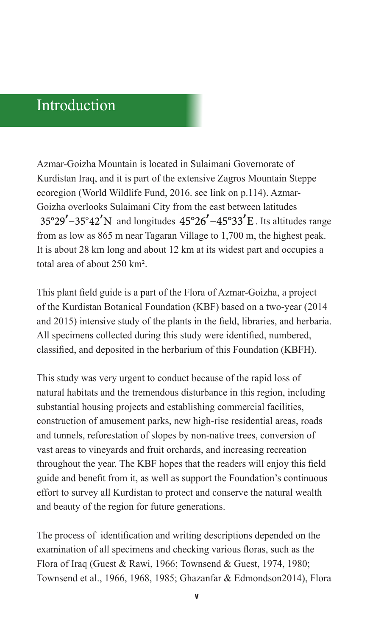#### Introduction

Azmar-Goizha Mountain is located in Sulaimani Governorate of Kurdistan Iraq, and it is part of the extensive Zagros Mountain Steppe ecoregion (World Wildlife Fund, 2016. see link on p.114). Azmar-Goizha overlooks Sulaimani City from the east between latitudes  $35^{\circ}29' - 35^{\circ}42'$ N and longitudes  $45^{\circ}26' - 45^{\circ}33'E$ . Its altitudes range from as low as 865 m near Tagaran Village to 1,700 m, the highest peak. It is about 28 km long and about 12 km at its widest part and occupies a total area of about 250 km².

This plant field guide is a part of the Flora of Azmar-Goizha, a project of the Kurdistan Botanical Foundation (KBF) based on a two-year (2014 and 2015) intensive study of the plants in the field, libraries, and herbaria. All specimens collected during this study were identified, numbered, classified, and deposited in the herbarium of this Foundation (KBFH).

This study was very urgent to conduct because of the rapid loss of natural habitats and the tremendous disturbance in this region, including substantial housing projects and establishing commercial facilities, construction of amusement parks, new high-rise residential areas, roads and tunnels, reforestation of slopes by non-native trees, conversion of vast areas to vineyards and fruit orchards, and increasing recreation throughout the year. The KBF hopes that the readers will enjoy this field guide and benefit from it, as well as support the Foundation's continuous effort to survey all Kurdistan to protect and conserve the natural wealth and beauty of the region for future generations.

The process of identification and writing descriptions depended on the examination of all specimens and checking various floras, such as the Flora of Iraq (Guest & Rawi, 1966; Townsend & Guest, 1974, 1980; Townsend et al., 1966, 1968, 1985; Ghazanfar & Edmondson2014), Flora